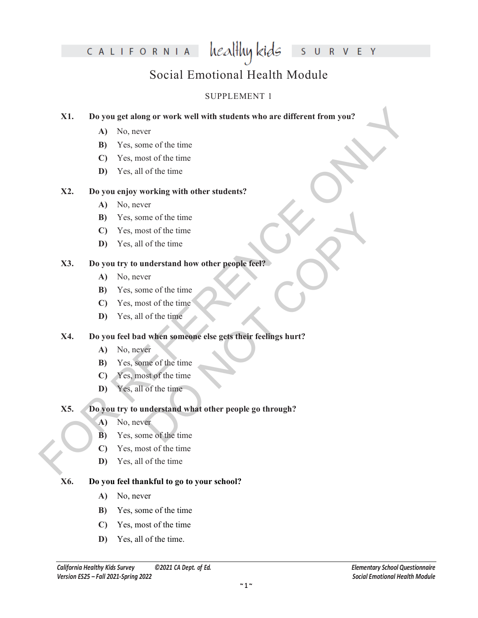### CALIFORNIA

R V E Y Ś  $\cup$ 

### Social Emotional Health Module

healthy kids

### SUPPLEMENT 1

# X1. Do you get along or work well with students who are different from you?<br>
A) No, avever of the time<br>
B) Yes, smot of the time<br>
C) Yes, most of the time<br>
X2. Do you enjoy working with other students?<br>
A) No, never<br>
B) Y **X1. Do you get along or work well with students who are different from you?**

- **A)** No, never
- **B)** Yes, some of the time
- **C)** Yes, most of the time
- **D)** Yes, all of the time

### **X2. Do you enjoy working with other students?**

- **A)** No, never
- **B)** Yes, some of the time
- **C)** Yes, most of the time
- **D)** Yes, all of the time

### **X3. Do you try to understand how other people feel?**

- **A)** No, never
- **B)** Yes, some of the time
- **C)** Yes, most of the time
- **D)** Yes, all of the time

### **X4. Do you feel bad when someone else gets their feelings hurt?**

- **A)** No, never
- **B)** Yes, some of the time
- **C)** Yes, most of the time
- **D)** Yes, all of the time

### me of the time<br>
ost of the time<br>
of the time<br>
of the time<br>
of the time<br>
of the time<br>
of the time<br>
of the time<br>
of the time<br>
of the time<br>
of the time<br>
of the time<br>
of the time<br>
of the time<br>
of the time<br>
of the time<br>
of the **X5. Do you try to understand what other people go through?**

- **A)** No, never
- **B)** Yes, some of the time
- **C)** Yes, most of the time
- **D)** Yes, all of the time

### **X6. Do you feel thankful to go to your school?**

- **A)** No, never
- **B)** Yes, some of the time
- **C)** Yes, most of the time
- **D)** Yes, all of the time.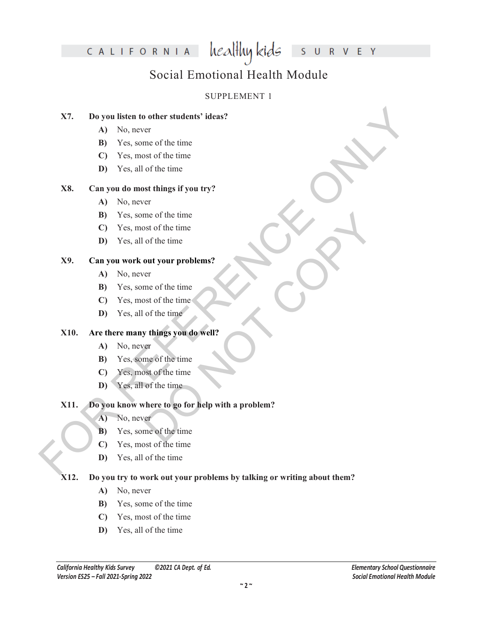### CALIFORNIA

healthy kids S  $\cup$ 

R V E Y

### Social Emotional Health Module

### SUPPLEMENT 1

### **X7. Do you listen to other students' ideas?**

- **A)** No, never
- **B)** Yes, some of the time
- **C)** Yes, most of the time
- **D)** Yes, all of the time

### **X8. Can you do most things if you try?**

- **A)** No, never
- **B)** Yes, some of the time
- **C)** Yes, most of the time
- **D)** Yes, all of the time

### **X9. Can you work out your problems?**

- **A)** No, never
- **B)** Yes, some of the time
- **C)** Yes, most of the time
- **D)** Yes, all of the time

### **X10. Are there many things you do well?**

- **A)** No, never
- **B)** Yes, some of the time
- **C)** Yes, most of the time
- **D)** Yes, all of the time

## X7. Do you listen to other students' ideas?<br>
A) No, aveve of the time<br>
B) Yes, some of the time<br>
C) Yes, and of the time<br>
C) Yes, and of the time<br>
X8. Can you do most things if you try?<br>
A) No, avever<br>
D) Yes, and of the me of the time<br>or of the time<br>or the time<br>or the time<br>or the time<br>of the time<br>of the time<br>of the time<br>of the time<br>of the time<br>of the time<br>of the time<br>of the time<br>of the time<br>of the time<br>of the time<br>of the time<br>of the time<br> **X11. Do you know where to go for help with a problem?**

- **A)** No, never
- **B)** Yes, some of the time
- **C)** Yes, most of the time
- **D)** Yes, all of the time

### **X12. Do you try to work out your problems by talking or writing about them?**

- **A)** No, never
- **B)** Yes, some of the time
- **C)** Yes, most of the time
- **D)** Yes, all of the time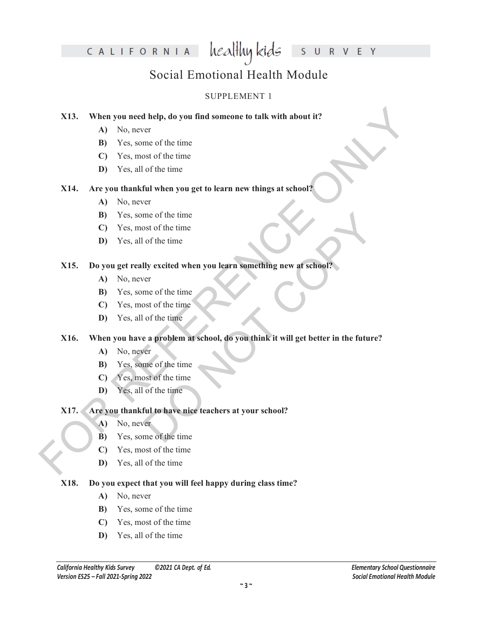### healthy kids CALIFORNIA

R V E Y  $\cup$ 

S

### Social Emotional Health Module

### SUPPLEMENT 1

### **X13. When you need help, do you find someone to talk with about it?**

- **A)** No, never
- **B)** Yes, some of the time
- **C)** Yes, most of the time
- **D)** Yes, all of the time

### **X14. Are you thankful when you get to learn new things at school?**

- **A)** No, never
- **B)** Yes, some of the time
- **C)** Yes, most of the time
- **D)** Yes, all of the time

### **X15. Do you get really excited when you learn something new at school?**

- **A)** No, never
- **B)** Yes, some of the time
- **C)** Yes, most of the time
- **D)** Yes, all of the time

## X13. When you need help, do you find someone to talk with about it?<br>
A) No, aveve of the time<br>
B) Yes, since of the time<br>
C) Yes, and of the time<br>
C) Yes, and of the time<br>
X14. Are you thank when you get to learn new thin me of the time<br>
of the time<br>
of the time<br>
of the time<br>
of the time<br>
of the time<br>
of the time<br>
of the time<br>
of the time<br>
of the time<br>
of the time<br>
of the time<br>
of the time<br>
of the time<br>
of the time<br>
of the time<br>
of the time **X16. When you have a problem at school, do you think it will get better in the future?**

- **A)** No, never
- **B)** Yes, some of the time
- **C)** Yes, most of the time
- **D)** Yes, all of the time

### **X17. Are you thankful to have nice teachers at your school?**

- **A)** No, never
- **B)** Yes, some of the time
- **C)** Yes, most of the time
- **D)** Yes, all of the time

### **X18. Do you expect that you will feel happy during class time?**

- **A)** No, never
- **B)** Yes, some of the time
- **C)** Yes, most of the time
- **D)** Yes, all of the time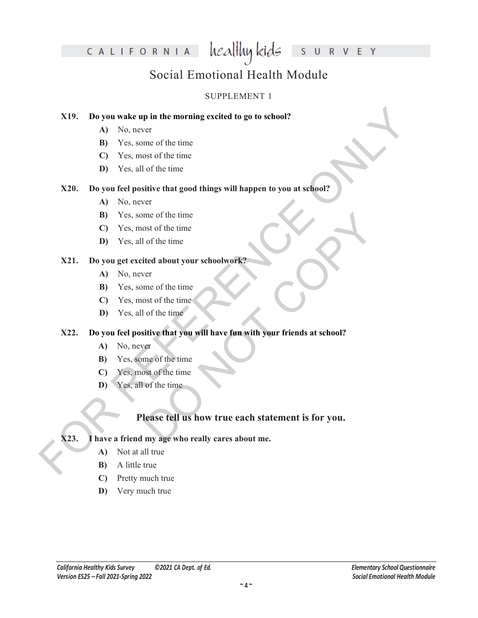### healthy kids CALIFORNIA

R V E Y  $\cup$ 

Ś

### Social Emotional Health Module

### SUPPLEMENT 1

### **X19. Do you wake up in the morning excited to go to school?**

- **A)** No, never
- **B)** Yes, some of the time
- **C)** Yes, most of the time
- **D)** Yes, all of the time

### **X20. Do you feel positive that good things will happen to you at school?**

- **A)** No, never
- **B)** Yes, some of the time
- **C)** Yes, most of the time
- **D)** Yes, all of the time

### **X21. Do you get excited about your schoolwork?**

- **A)** No, never
- **B)** Yes, some of the time
- **C)** Yes, most of the time
- **D)** Yes, all of the time

# X19. Do you wake up in the morning excited to go to school?<br>
A) No, never<br>
B) Yes, some of the time<br>
C) Yes, some of the time<br>
C) Yes, some of the time<br>
Yes, some of the time<br>
X20. Do you feel positive that good things wi **X22. Do you feel positive that you will have fun with your friends at school?**

- **A)** No, never
- **B)** Yes, some of the time
- **C)** Yes, most of the time
- **D)** Yes, all of the time

### me of the time<br>
of the time<br>
of the time<br>
of the time<br>
of the time<br>
of the time<br>
of the time<br>
of the time<br>
of the time<br>
of the time<br>
of the time<br>
of the time<br>
of the time<br>
of the time<br>
of the time<br>
of the time<br>
of the time **Please tell us how true each statement is for you.**

### **X23. I have a friend my age who really cares about me.**

- **A)** Not at all true
- **B)** A little true
- **C)** Pretty much true
- **D)** Very much true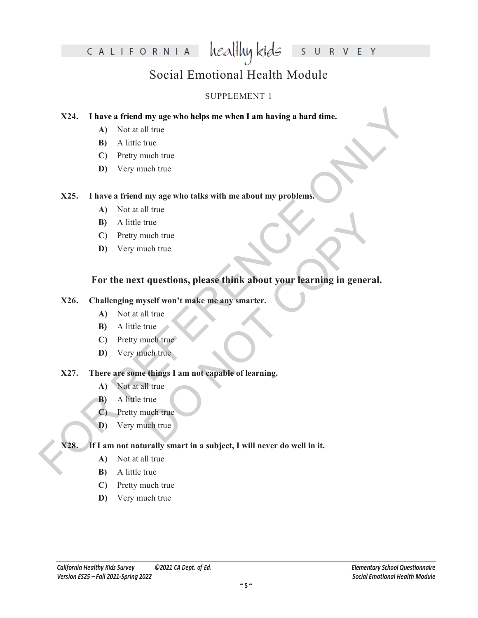### healthy kids CALIFORNIA U R V E Y  $\overline{\mathsf{S}}$

### Social Emotional Health Module

### SUPPLEMENT 1

### **X24. I have a friend my age who helps me when I am having a hard time.**

- **A)** Not at all true
- **B)** A little true
- **C)** Pretty much true
- **D)** Very much true

### **X25. I have a friend my age who talks with me about my problems.**

- **A)** Not at all true
- **B)** A little true
- **C)** Pretty much true
- **D)** Very much true

## X24. I have a friend my age who telps me when I am having a hard time.<br>
A) Not at all true<br>
B) A little true<br>
C) Pretty much true<br>
D) Very much true<br>
X25. I have a friend my age who talks with me about my problems.<br>
A) No The true<br>
true<br>
uch true<br>
copy and true<br>
true<br>
true<br>
and true<br>
uch true<br>
things I am not capable of learning.<br>
Il true<br>
true<br>
true<br>
true<br>
true<br>
true<br>
true<br>
true<br>
true<br>
true<br>
true<br>
true<br>
true<br>
true<br>
true<br>
true<br>
true<br>
true<br> **For the next questions, please think about your learning in general.**

### **X26. Challenging myself won't make me any smarter.**

- **A)** Not at all true
- **B)** A little true
- **C)** Pretty much true
- **D)** Very much true

### **X27. There are some things I am not capable of learning.**

- **A)** Not at all true
- **B)** A little true
- **C)** Pretty much true
- **D)** Very much true

### **X28. If I am not naturally smart in a subject, I will never do well in it.**

- **A)** Not at all true
- **B)** A little true
- **C)** Pretty much true
- **D)** Very much true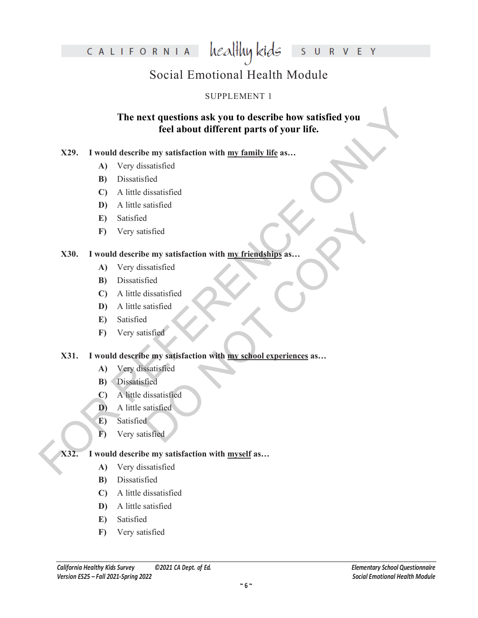healthy kids CALIFORNIA

R V E Y Ś  $\cup$ 

### Social Emotional Health Module

### SUPPLEMENT 1

## The next questions ask you to describe how satisfied you<br>
feel about different parts of your life.<br>
X29. I would describe my standard<br>
(A) Very dissuisfied<br>
(C) A little sinsified<br>
(D) A little sinsified<br>
E) Satisfied<br>
F(D **The next questions ask you to describe how satisfied you feel about different parts of your life.**

### **X29. I would describe my satisfaction with my family life as…**

- **A)** Very dissatisfied
- **B)** Dissatisfied
- **C)** A little dissatisfied
- **D)** A little satisfied
- **E)** Satisfied
- **F)** Very satisfied

### **X30. I would describe my satisfaction with my friendships as…**

- **A)** Very dissatisfied
- **B)** Dissatisfied
- **C)** A little dissatisfied
- **D)** A little satisfied
- **E)** Satisfied
- **F)** Very satisfied

### d<br>
tisfied<br>
tisfied<br>
tisfied<br>
dissatisfied<br>
dissatisfied<br>
dissatisfied<br>
e my satisfaction with <u>my school experiences</u> as...<br>
satisfied<br>
dissatisfied<br>
dissatisfied<br>
dissatisfied<br>
dissatisfied<br>
distrified<br>
d **X31. I would describe my satisfaction with my school experiences as…**

- **A)** Very dissatisfied
- **B)** Dissatisfied
- **C)** A little dissatisfied
- **D)** A little satisfied
- **E)** Satisfied
- **F)** Very satisfied

### **X32. I would describe my satisfaction with myself as…**

- **A)** Very dissatisfied
- **B)** Dissatisfied
- **C)** A little dissatisfied
- **D)** A little satisfied
- **E)** Satisfied
- **F)** Very satisfied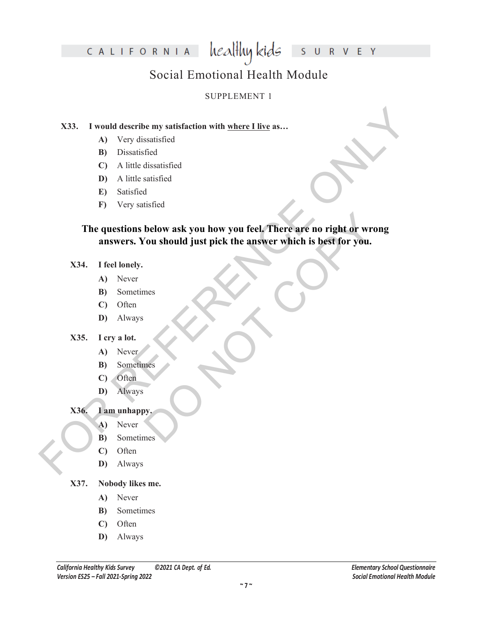### healthy kids CALIFORNIA U R V E Y  $\overline{\mathsf{S}}$

### Social Emotional Health Module

### SUPPLEMENT 1

### **X33. I would describe my satisfaction with where I live as…**

- **A)** Very dissatisfied
- **B)** Dissatisfied
- **C)** A little dissatisfied
- **D)** A little satisfied
- **E)** Satisfied
- **F)** Very satisfied

### X33. I would describe my satisfaction with <u>where I live</u> as...<br>
(A) Very dissuisfied<br>
(D) A little dissuisfied<br>
(D) A little slastisfied<br>
(D) A little slastisfied<br>
(E) Satisfied<br>
(E) Satisfaction<br>
(E) Very matisfied<br>
(E) below ask you how you feel. There are no right or wron<br>You should just pick the answer which is best for you. **The questions below ask you how you feel. There are no right or wrong answers. You should just pick the answer which is best for you.**

### **X34. I feel lonely.**

- **A)** Never
- **B)** Sometimes
- **C)** Often
- **D)** Always

### **X35. I cry a lot.**

- **A)** Never
- **B)** Sometimes
- **C)** Often
- **D)** Always

### **X36. I am unhappy.**

- **A)** Never
- **B)** Sometimes
- **C)** Often
- **D)** Always

### **X37. Nobody likes me.**

- **A)** Never
- **B)** Sometimes
- **C)** Often
- **D)** Always